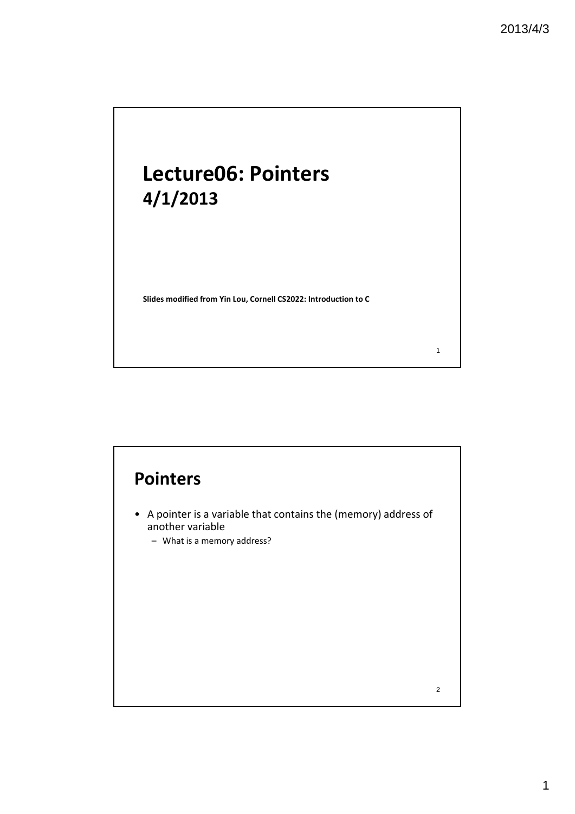# **Lecture06: Pointers 4/1/2013**

**Slides modified from Yin Lou, Cornell CS2022: Introduction to C**

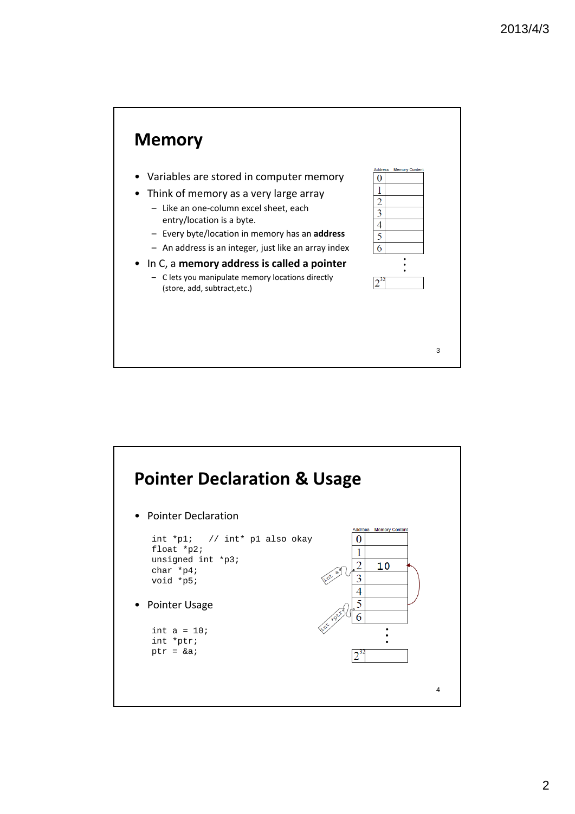

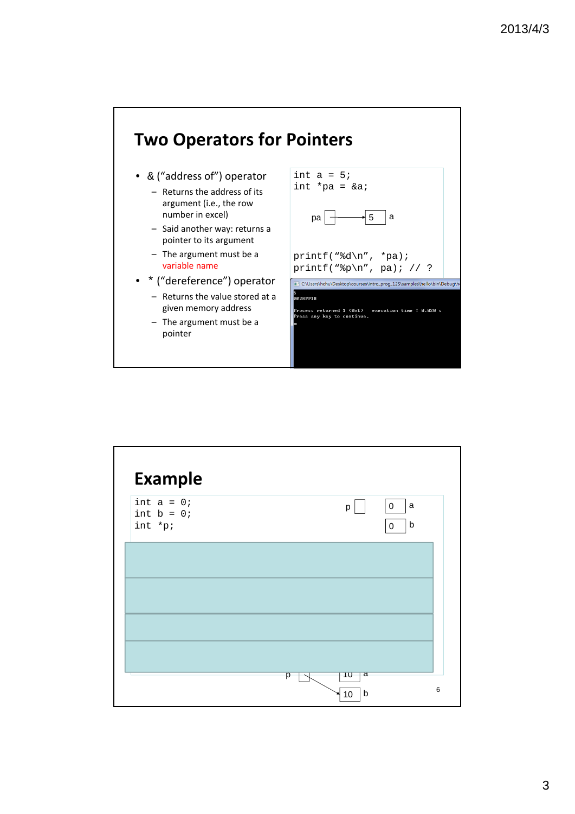

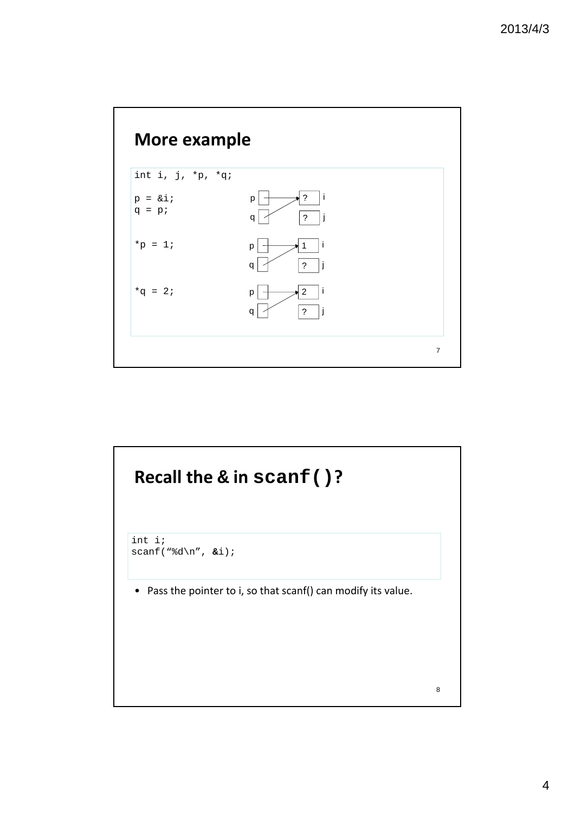

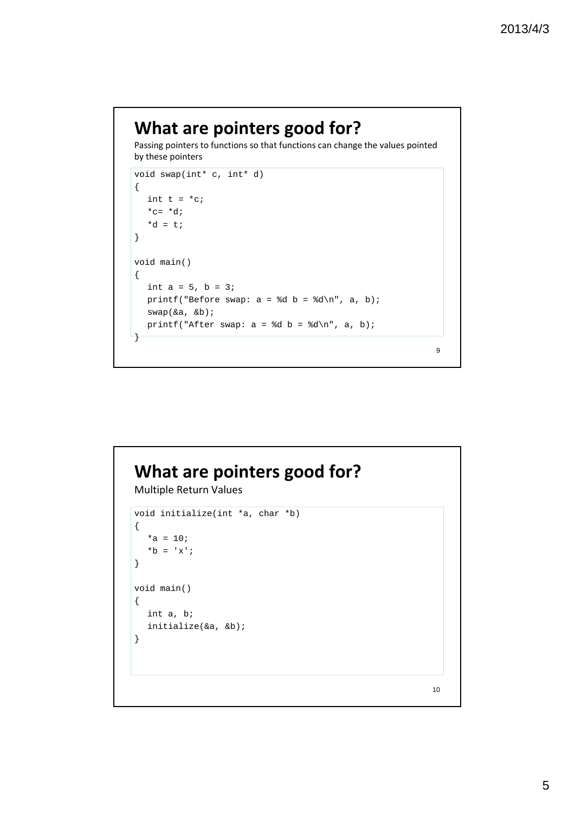## **What are pointers good for?**

Passing pointers to functions so that functions can change the values pointed by these pointers

```
void swap(int* c, int* d)
{
  int t = *c;
  *c= *d;*d = t;}
void main()
{
  int a = 5, b = 3;
  printf("Before swap: a = \dagger d b = \dagger d \ln", a, b);
  swap(&a, &b);
  printf("After swap: a = \{d \mid b = \{d \mid n, a, b\} \};
}
```
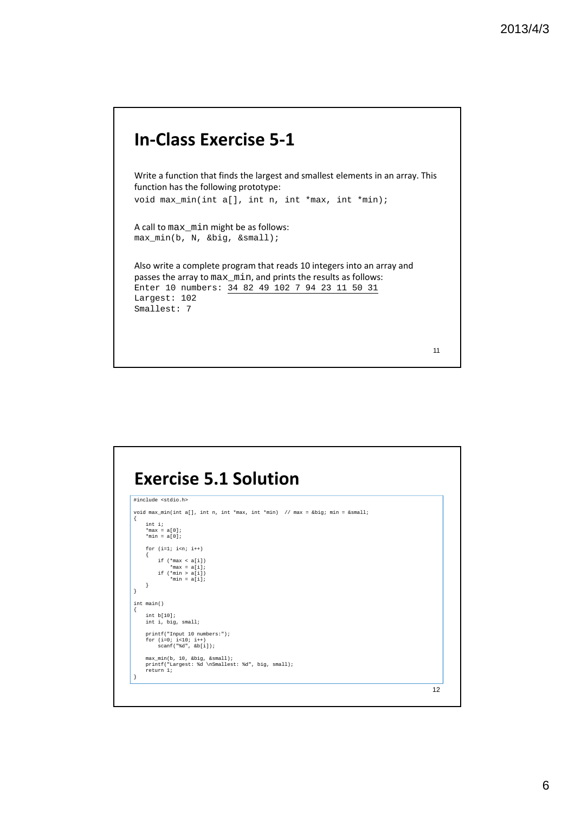### **In‐Class Exercise 5‐1**

Write a function that finds the largest and smallest elements in an array. This function has the following prototype:

void max min(int a[], int n, int \*max, int \*min);

A call to max\_min might be as follows: max\_min(b, N, &big, &small);

Also write a complete program that reads 10 integers into an array and passes the array to max\_min, and prints the results as follows: Enter 10 numbers: 34 82 49 102 7 94 23 11 50 31 Largest: 102 Smallest: 7

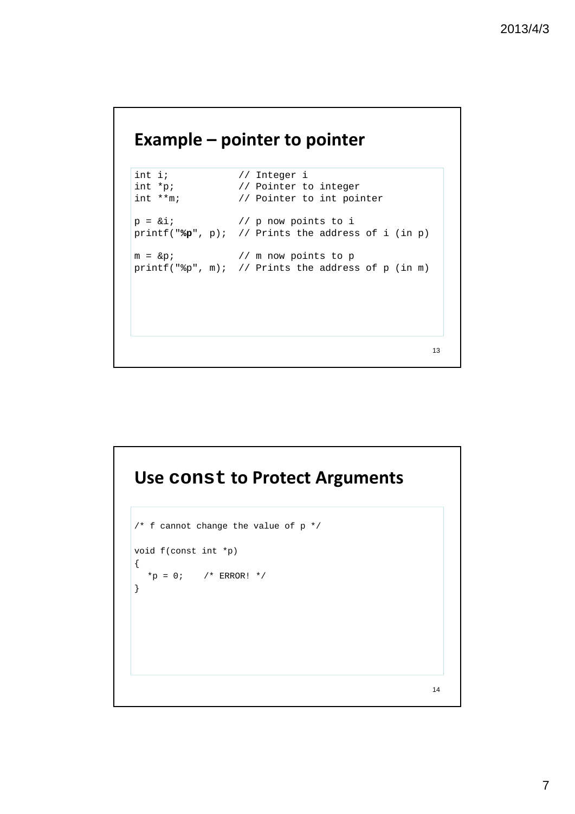#### **Example – pointer to pointer**

```
int i; \begin{array}{ccc} \nint i; \\
int *p; \\
\end{array} // Integer i
int *p; \frac{1}{2} // Pointer to integer<br>int **m; // Pointer to int point
               // Pointer to int pointer
p = \&i; // p now points to i
printf("%p", p); // Prints the address of i (in p)
m = &p; // m now points to p
printf("%p", m); // Prints the address of p (in m)
```
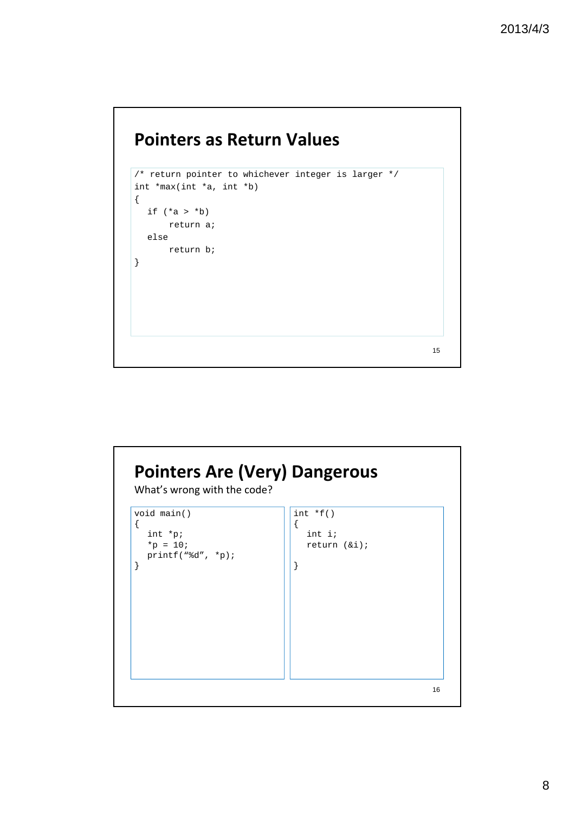# **Pointers as Return Values**



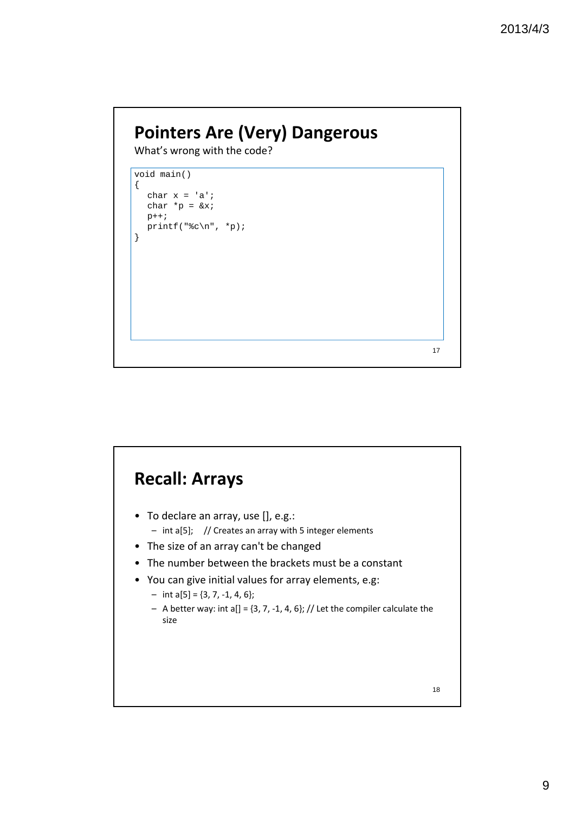# **Pointers Are (Very) Dangerous**

What's wrong with the code?

void main() { char  $x = 'a'$ ; char  $*_{p} = \&x$ p++; printf("%c\n",  $*$ p); }

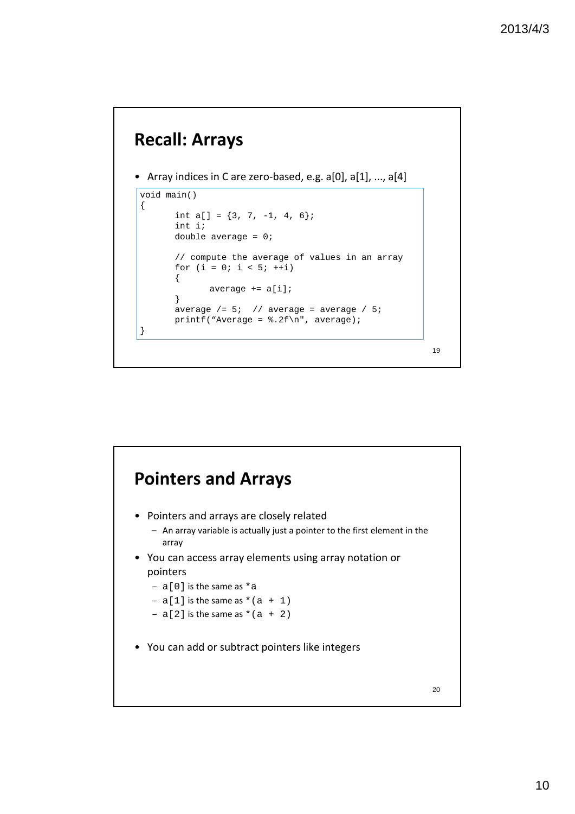### **Recall: Arrays**

```
• Array indices in C are zero-based, e.g. a[0], a[1], ..., a[4]
```

```
void main()
{
      int a[] = \{3, 7, -1, 4, 6\};
      int i;
      double average = 0;
      // compute the average of values in an array
      for (i = 0; i < 5; ++i){
             average += a[i];
      }
      average / = 5; // average = average / 5;
      printf("Average = .2f\n", average);
}
```
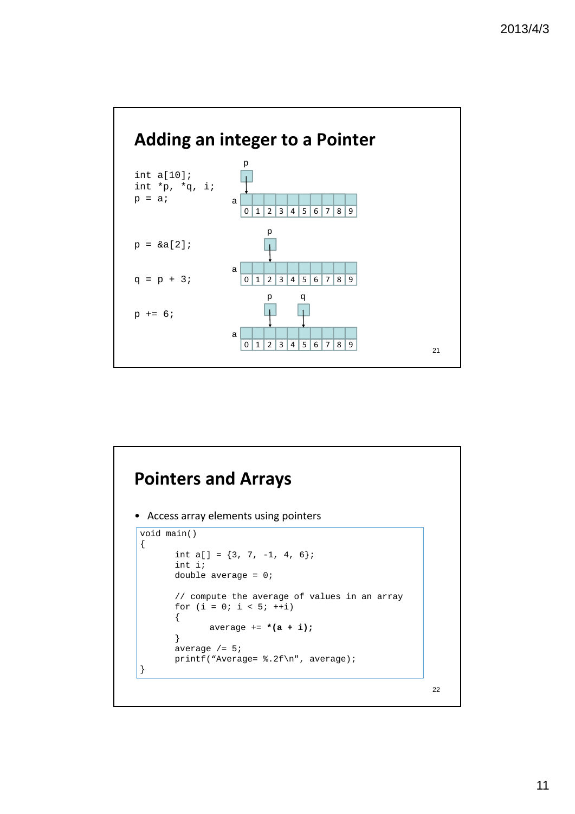

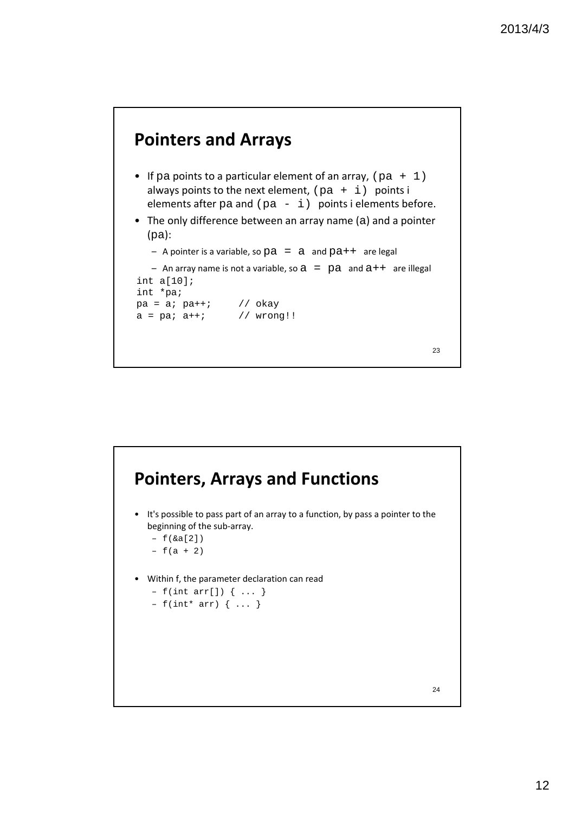

- If pa points to a particular element of an array,  $(pa + 1)$ always points to the next element,  $(pa + i)$  points i elements after  $pa$  and ( $pa - i$ ) points i elements before.
- The only difference between an array name (a) and a pointer (pa):

```
– A pointer is a variable, so pa = a and pa++ are legal
```

```
– An array name is not a variable, so a = pa and a++ are illegal
int a[10];
int *pa;
pa = a; pa++; // okay
a = p a; a++; // wrong!!
```

```
23
```
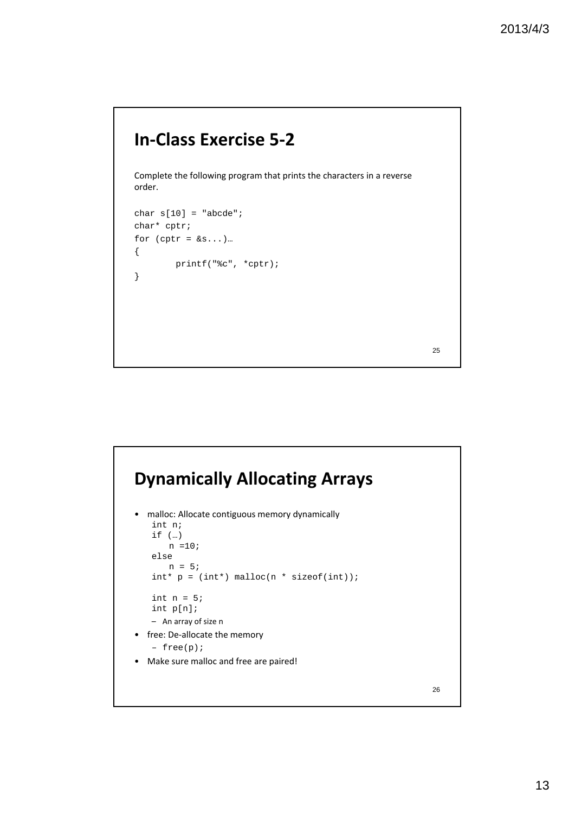## **In‐Class Exercise 5‐2**

Complete the following program that prints the characters in a reverse order.

```
char s[10] = "abcde";char* cptr;
for (cptr = &s...).{
       printf("%c", *cptr);
}
```